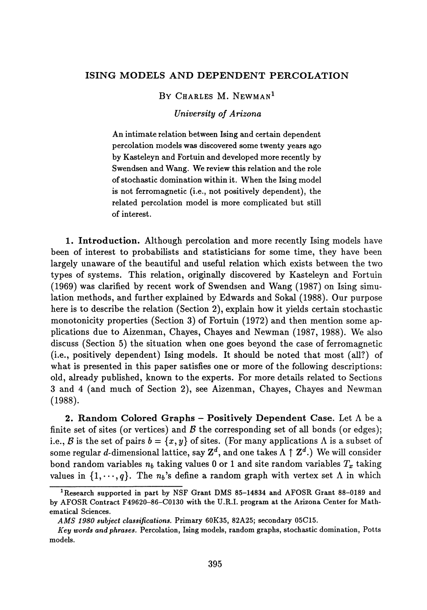## **ISING MODELS AND DEPENDENT PERCOLATION**

## BY CHARLES M. NEWMAN<sup>1</sup>

## *University of Arizona*

An intimate relation between Ising and certain dependent percolation models was discovered some twenty years ago by Kasteleyn and Fortuin and developed more recently by Swendsen and Wang. We review this relation and the role of stochastic domination within it. When the Ising model is not ferromagnetic (i.e., not positively dependent), the related percolation model is more complicated but still of interest.

**1. Introduction.** Although percolation and more recently Ising models have been of interest to probabilists and statisticians for some time, they have been largely unaware of the beautiful and useful relation which exists between the two types of systems. This relation, originally discovered by Kasteleyn and Fortuin (1969) was clarified by recent work of Swendsen and Wang (1987) on Ising simu lation methods, and further explained by Edwards and Sokal (1988). Our purpose here is to describe the relation (Section 2), explain how it yields certain stochastic monotonicity properties (Section 3) of Fortuin (1972) and then mention some ap plications due to Aizenman, Chayes, Chayes and Newman (1987, 1988). We also discuss (Section 5) the situation when one goes beyond the case of ferromagnetic (i.e., positively dependent) Ising models. It should be noted that most (all?) of what is presented in this paper satisfies one or more of the following descriptions: old, already published, known to the experts. For more details related to Sections 3 and 4 (and much of Section 2), see Aizenman, Chayes, Chayes and Newman (1988).

**2. Random Colored Graphs - Positively Dependent Case.** Let A be a finite set of sites (or vertices) and  $\beta$  the corresponding set of all bonds (or edges); i.e., *B* is the set of pairs  $b = \{x, y\}$  of sites. (For many applications  $\Lambda$  is a subset of some regular  $d$ -dimensional lattice, say  $\mathbf{Z}^{d},$  and one takes  $\Lambda \uparrow \mathbf{Z}^{d}.$  ) We will consider bond random variables  $n_b$  taking values  $0$  or  $1$  and site random variables  $T_x$  taking values in  $\{1,\dots,q\}$ . The  $n_b$ 's define a random graph with vertex set  $\Lambda$  in which

**Research supported in part by NSF Grant DMS 85-14834 and AFOSR Grant 88-0189 and by AFOSR Contract F49620-86-C0130 with the U.R.I, program at the Arizona Center for Math ematical Sciences.**

*AMS 1980 subject classifications.* **Primary 60K35, 82A25; secondary 05C15.**

*Key words and phrases.* **Percolation, Ising models, random graphs, stochastic domination, Potts models.**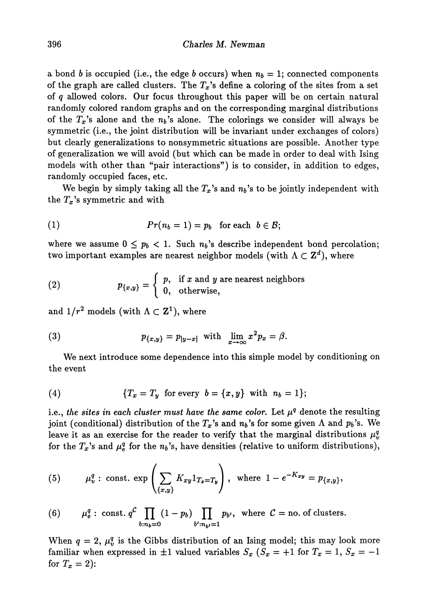a bond  $b$  is occupied (i.e., the edge  $b$  occurs) when  $n_b = 1$ ; connected components of the graph are called clusters. The  $T_{\bm{x}}$ 's define a coloring of the sites from a set of *q* allowed colors. Our focus throughout this paper will be on certain natural randomly colored random graphs and on the corresponding marginal distributions of the  $T_x$ 's alone and the  $n_b$ 's alone. The colorings we consider will always be symmetric (i.e., the joint distribution will be invariant under exchanges of colors) but clearly generalizations to nonsymmetric situations are possible. Another type of generalization we will avoid (but which can be made in order to deal with Ising models with other than "pair interactions") is to consider, in addition to edges, randomly occupied faces, etc.

We begin by simply taking all the  $T_x$ 's and  $n_b$ 's to be jointly independent with the  $T_x$ 's symmetric and with

(1) 
$$
Pr(n_b = 1) = p_b \text{ for each } b \in \mathcal{B};
$$

where we assume  $0 \leq p_b < 1$ . Such  $n_b$ 's describe independent bond percolation; two important examples are nearest neighbor models (with  $\Lambda \subset \mathbf{Z}^d),$  where

(2) 
$$
p_{\{x,y\}} = \begin{cases} p, & \text{if } x \text{ and } y \text{ are nearest neighbors} \\ 0, & \text{otherwise,} \end{cases}
$$

and  $1/r^2$  models (with  $\Lambda \subset {\bf Z}^1),$  where

(3) 
$$
p_{\lbrace x,y \rbrace} = p_{|y-x|} \text{ with } \lim_{x \to \infty} x^2 p_x = \beta.
$$

We next introduce some dependence into this simple model by conditioning on the event

(4) 
$$
\{T_x = T_y \text{ for every } b = \{x, y\} \text{ with } n_b = 1\};
$$

i.e., the sites in each cluster must have the same color. Let  $\mu^q$  denote the resulting joint (conditional) distribution of the  $T_x$ 's and  $n_b$ 's for some given  $\Lambda$  and  $p_b$ 's. We leave it as an exercise for the reader to verify that the marginal distributions  $\mu_i^q$ *v* for the  $T_x$ 's and  $\mu_{\rm g}^{\rm g}$  for the  $n_b$ 's, have densities (relative to uniform distributions),

(5) 
$$
\mu_v^q
$$
: const.  $\exp\left(\sum_{\{x,y\}} K_{xy} 1_{T_x=T_y}\right)$ , where  $1-e^{-K_{xy}} = p_{\{x,y\}},$ 

(6) 
$$
\mu_e^q
$$
: const.  $q^C \prod_{b:n_b=0} (1-p_b) \prod_{b':n_{b'}=1} p_{b'}$ , where  $C = \text{no. of clusters.}$ 

When  $q = 2$ ,  $\mu_q^q$ *v* is the Gibbs distribution of an Ising model; this may look more familiar when expressed in  $\pm 1$  valued variables  $S_x$  ( $S_x = +1$  for  $T_x = 1, S_x = -1$ for  $T_x = 2$ ):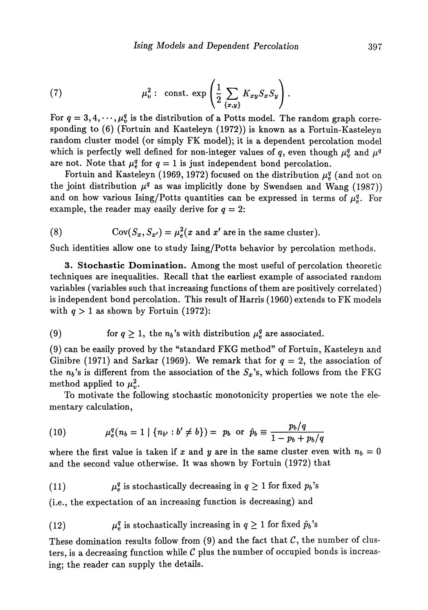(7) 
$$
\mu_v^2: \text{ const. } \exp\left(\frac{1}{2}\sum_{\{x,y\}}K_{xy}S_xS_y\right).
$$

For  $q = 3, 4, \dots, \mu_n^q$  is the distribution of a Potts model. The random graph corresponding to (6) (Fortuin and Kasteleyn (1972)) is known as a Fortuin-Kasteleyn random cluster model (or simply FK model); it is a dependent percolation model which is perfectly well defined for non-integer values of q, even though  $\mu_v^q$  and  $\mu^q$ are not. Note that  $\mu_{\epsilon}^{q}$  for  $q=1$  is just independent bond percolation.

Fortuin and Kasteleyn (1969, 1972) focused on the distribution  $\mu_e^q$  (and not on the joint distribution  $\mu^q$  as was implicitly done by Swendsen and Wang (1987)) and on how various Ising/Potts quantities can be expressed in terms of  $\mu_s^q$ . For example, the reader may easily derive for  $q = 2$ :

(8) 
$$
Cov(S_x, S_{x'}) = \mu_e^2(x \text{ and } x' \text{ are in the same cluster}).
$$

Such identities allow one to study Ising/Potts behavior by percolation methods.

**3. Stochastic Domination.** Among the most useful of percolation theoretic techniques are inequalities. Recall that the earliest example of associated random variables (variables such that increasing functions of them are positively correlated) is independent bond percolation. This result of Harris (1960) extends to FK models with  $q > 1$  as shown by Fortuin (1972):

(9) for 
$$
q \geq 1
$$
, the  $n_b$ 's with distribution  $\mu_e^q$  are associated.

(9) can be easily proved by the "standard FKG method" of Fortuin, Kasteleyn and Ginibre (1971) and Sarkar (1969). We remark that for  $q = 2$ , the association of the  $n_b$ 's is different from the association of the  $S_x$ 's, which follows from the FKG method applied to  $\mu_n^2$ .

To motivate the following stochastic monotonicity properties we note the ele mentary calculation,

(10) 
$$
\mu_e^q(n_b = 1 \mid \{n_{b'} : b' \neq b\}) = p_b \text{ or } \hat{p}_b \equiv \frac{p_b/q}{1 - p_b + p_b/q}
$$

where the first value is taken if  $x$  and  $y$  are in the same cluster even with  $n_b = 0$ and the second value otherwise. It was shown by Fortuin (1972) that

(11) 
$$
\mu_e^q
$$
 is stochastically decreasing in  $q \geq 1$  for fixed  $p_b$ 's

(i.e., the expectation of an increasing function is decreasing) and

(12) 
$$
\mu_e^q
$$
 is stochastically increasing in  $q \geq 1$  for fixed  $\hat{p}_b$ 's

These domination results follow from (9) and the fact that  $C$ , the number of clusters, is a decreasing function while *C* plus the number of occupied bonds is increas ing; the reader can supply the details.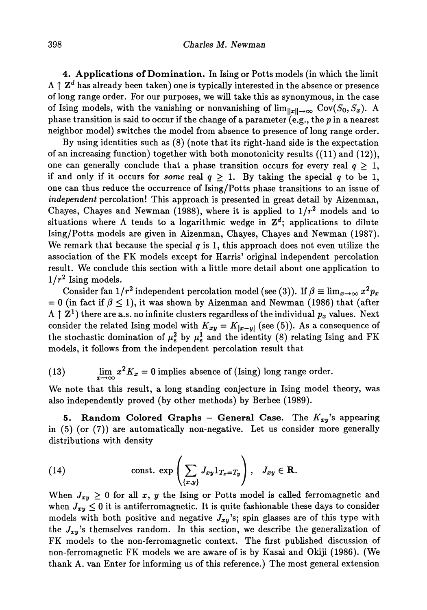**4. Applications of Domination.** In Ising or Potts models (in which the limit  $\uparrow$   $\mathbf{Z}^d$  has already been taken) one is typically interested in the absence or presence of long range order. For our purposes, we will take this as synonymous, in the case of Ising models, with the vanishing or nonvanishing of  $\lim_{\|x\|\to\infty}\,$  Cov $(S_0, S_x)$ . A phase transition is said to occur if the change of a parameter (e.g., the *p* in a nearest neighbor model) switches the model from absence to presence of long range order.

By using identities such as (8) (note that its right-hand side is the expectation of an increasing function) together with both monotonicity results  $((11)$  and  $(12))$ , one can generally conclude that a phase transition occurs for every real  $q > 1$ , if and only if it occurs for *some* real  $q \geq 1$ . By taking the special q to be 1, one can thus reduce the occurrence of Ising/Potts phase transitions to an issue of *independent* percolation! This approach is presented in great detail by Aizenman, Chayes, Chayes and Newman (1988), where it is applied to  $1/r^2$  models and to situations where  $\Lambda$  tends to a logarithmic wedge in  $\mathbf{Z}^{d}$ ; applications to dilute Ising/Potts models are given in Aizenman, Chayes, Chayes and Newman (1987). We remark that because the special  $q$  is 1, this approach does not even utilize the association of the FK models except for Harris' original independent percolation result. We conclude this section with a little more detail about one application to  $1/r^2$  Ising models.

 $\text{Consider fan 1/}r^2\text{ independent percolation model (see (3)). If }\beta\equiv\lim_{x\rightarrow\infty}x^2p_x$  $= 0$  (in fact if  $\beta \leq 1$ ), it was shown by Aizenman and Newman (1986) that (after I Z<sup>1</sup> ) there are a.s. no infinite clusters regardless of the individual *p<sup>x</sup>* values. Next consider the related Ising model with  $K_{xy} = K_{|x-y|}$  (see (5)). As a consequence of the stochastic domination of  $\mu_e^2$  by  $\mu_e^1$  and the identity (8) relating Ising and FK models, it follows from the independent percolation result that

(13) 
$$
\lim_{x \to \infty} x^2 K_x = 0
$$
 implies absence of (Ising) long range order.

We note that this result, a long standing conjecture in Ising model theory, was also independently proved (by other methods) by Berbee (1989).

**5. Random Colored Graphs - General Case.** The *Kxy 's* appearing in (5) (or (7)) are automatically non-negative. Let us consider more generally distributions with density

(14) const. 
$$
\exp\left(\sum_{\{x,y\}} J_{xy} 1_{T_x=T_y}\right), \quad J_{xy} \in \mathbb{R}.
$$

When  $J_{xy} \geq 0$  for all x, y the Ising or Potts model is called ferromagnetic and when  $J_{xy} \leq 0$  it is antiferromagnetic. It is quite fashionable these days to consider models with both positive and negative  $J_{xy}$ 's; spin glasses are of this type with the  $J_{xy}$ 's themselves random. In this section, we describe the generalization of FK models to the non-ferromagnetic context. The first published discussion of non-ferromagnetic FK models we are aware of is by Kasai and Okiji (1986). (We thank A. van Enter for informing us of this reference.) The most general extension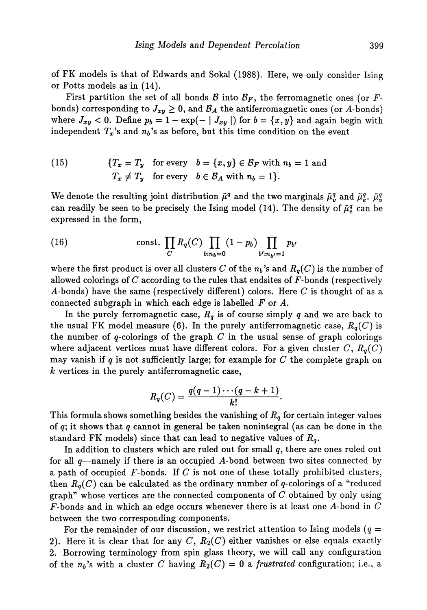of FK models is that of Edwards and Sokal (1988). Here, we only consider Ising or Potts models as in (14).

First partition the set of all bonds  $\mathcal{B}$  into  $\mathcal{B}_F$ , the ferromagnetic ones (or  $F$ bonds) corresponding to  $J_{xy}\geq 0,$  and  $\mathcal{B}_{A}$  the antiferromagnetic ones (or  $A\text{-bonds})$ where  $J_{xy} < 0$ . Define  $p_b = 1 - \exp(- \mid J_{xy} \mid)$  for  $b = \{x, y\}$  and again begin with independent  $T_x$ 's and  $n_b$ 's as before, but this time condition on the event

(15) 
$$
\{T_x = T_y \text{ for every } b = \{x, y\} \in \mathcal{B}_F \text{ with } n_b = 1 \text{ and}
$$

$$
T_x \neq T_y \text{ for every } b \in \mathcal{B}_A \text{ with } n_b = 1\}.
$$

We denote the resulting joint distribution  $\tilde{\mu}^q$  and the two marginals  $\tilde{\mu}^q_i$  $\tilde{\mu}_e^q$ .  $\tilde{\mu}_e^q$ .  $\tilde{\mu}_v^q$ can readily be seen to be precisely the Ising model (14). The density of  $\tilde{\mu}^g$  can be expressed in the form,

(16) const. 
$$
\prod_{C} R_q(C) \prod_{b:n_b=0} (1-p_b) \prod_{b':n_{b'}=1} p_{b'}
$$

where the first product is over all clusters  $C$  of the  $n_b$ 's and  $R_q(C)$  is the number of allowed colorings of  $C$  according to the rules that endsites of  $F$ -bonds (respectively A-bonds) have the same (respectively different) colors. Here *C* is thought of as a connected subgraph in which each edge is labelled *F* or A.

In the purely ferromagnetic case,  $R_q$  is of course simply  $q$  and we are back to the usual FK model measure (6). In the purely antiferromagnetic case,  $R_q(C)$  is the number of  $q$ -colorings of the graph  $C$  in the usual sense of graph colorings where adjacent vertices must have different colors. For a given cluster  $C,\,R_q(C)$ may vanish if *q* is not sufficiently large; for example for *C* the complete graph on *k* vertices in the purely antiferromagnetic case,

$$
R_q(C)=\frac{q(q-1)\cdots(q-k+1)}{k!}.
$$

This formula shows something besides the vanishing of  $R_q$  for certain integer values of *q\* it shows that *q* cannot in general be taken nonintegral (as can be done in the standard FK models) since that can lead to negative values of *R<sup>q</sup> .*

In addition to clusters which are ruled out for small  $q$ , there are ones ruled out for all *q*—namely if there is an occupied A-bond between two sites connected by a path of occupied F-bonds. If *C* is not one of these totally prohibited clusters, then  $R_{\textit{q}}(C)$  can be calculated as the ordinary number of  $q$ -colorings of a "reduced graph" whose vertices are the connected components of *C* obtained by only using F-bonds and in which an edge occurs whenever there is at least one A-bond in *C* between the two corresponding components.

For the remainder of our discussion, we restrict attention to Ising models  $(q =$ 2). Here it is clear that for any  $C, R_2(C)$  either vanishes or else equals exactly 2. Borrowing terminology from spin glass theory, we will call any configuration of the  $n_b$ 's with a cluster C having  $R_2(C) = 0$  a *frustrated* configuration; i.e., a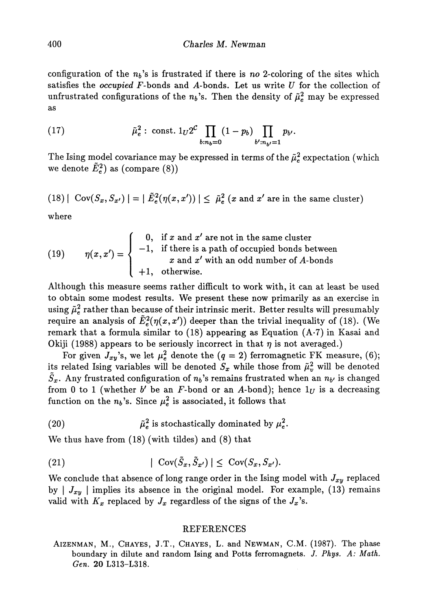configuration of the  $n_b$ 's is frustrated if there is no 2-coloring of the sites which satisfies the *occupied* F-bonds and A-bonds. Let us write *U* for the collection of unfrustrated configurations of the  $n_b$ 's. Then the density of  $\tilde{\mu}_e^2$  may be expressed as

(17) 
$$
\tilde{\mu}_e^2: \text{ const. } 1_U 2^C \prod_{b:n_b=0} (1-p_b) \prod_{b':n_{b'}=1} p_{b'}.
$$

The Ising model covariance may be expressed in terms of the  $\tilde{\mu}^2_e$  expectation (which we denote  $\tilde{E}_e^2$ ) as (compare (8))

(18) | Cov
$$
(S_x, S_{x'})
$$
 | = |  $\tilde{E}_e^2(\eta(x, x'))$  |  $\leq \tilde{\mu}_e^2(x \text{ and } x' \text{ are in the same cluster})$ 

where

(19) 
$$
\eta(x, x') = \begin{cases}\n0, & \text{if } x \text{ and } x' \text{ are not in the same cluster} \\
-1, & \text{if there is a path of occupied bonds between} \\
x \text{ and } x' \text{ with an odd number of } A \text{-bonds} \\
+1, & \text{otherwise.} \n\end{cases}
$$

Although this measure seems rather difficult to work with, it can at least be used to obtain some modest results. We present these now primarily as an exercise in using  $\tilde{\mu}_e^2$  rather than because of their intrinsic merit. Better results will presumably require an analysis of  $\tilde{E}^2_{\epsilon}(\eta(x,x'))$  deeper than the trivial inequality of (18). (We remark that a formula similar to  $(18)$  appearing as Equation  $(A \cdot 7)$  in Kasai and Okiji (1988) appears to be seriously incorrect in that *η* is not averaged.)

For given  $J_{xy}$ 's, we let  $\mu_e^2$  denote the  $(q=2)$  ferromagnetic FK measure, (6); its related Ising variables will be denoted  $S_x$  while those from  $\tilde{\mu}_v^2$  will be denoted  $S_{\bm{x}}.$  Any frustrated configuration of  $n_b$ 's remains frustrated when an  $n_{b'}$  is changed from 0 to 1 (whether  $b'$  be an F-bond or an A-bond); hence  $1_U$  is a decreasing function on the  $n_b$ 's. Since  $\mu_e^2$  is associated, it follows that

(20)  $\tilde{\mu}_e^2$  is stochastically dominated by  $\mu_e^2$ .

We thus have from (18) (with tildes) and (8) that

(21) 
$$
|\operatorname{Cov}(\tilde{S}_x, \tilde{S}_{x'})| \leq \operatorname{Cov}(S_x, S_{x'}).
$$

We conclude that absence of long range order in the Ising model with  $J_{xy}$  replaced by  $\mid J_{xy}\mid$  implies its absence in the original model. For example,  $(13)$  remains valid with  $K_x$  replaced by  $J_x$  regardless of the signs of the  $J_x$ 's.

## REFERENCES

AIZENMAN, M., CHAYES, J.T., CHAYES, L. and NEWMAN, CM. (1987). The phase boundary in dilute and random Ising and Potts ferromagnets. *J. Phys. A: Math. Gen.* 20 L313-L318.